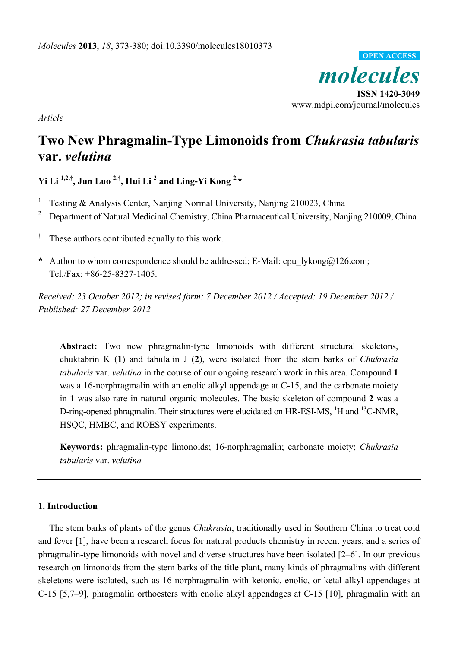

*Article* 

# **Two New Phragmalin-Type Limonoids from** *Chukrasia tabularis* **var.** *velutina*

**Yi Li 1,2,†, Jun Luo 2,†, Hui Li 2 and Ling-Yi Kong 2,\*** 

- 1 Testing & Analysis Center, Nanjing Normal University, Nanjing 210023, China
- 2 Department of Natural Medicinal Chemistry, China Pharmaceutical University, Nanjing 210009, China
- **†** These authors contributed equally to this work.
- **\*** Author to whom correspondence should be addressed; E-Mail: cpu\_lykong@126.com; Tel./Fax: +86-25-8327-1405.

*Received: 23 October 2012; in revised form: 7 December 2012 / Accepted: 19 December 2012 / Published: 27 December 2012* 

**Abstract:** Two new phragmalin-type limonoids with different structural skeletons, chuktabrin K (**1**) and tabulalin J (**2**), were isolated from the stem barks of *Chukrasia tabularis* var. *velutina* in the course of our ongoing research work in this area. Compound **1** was a 16-norphragmalin with an enolic alkyl appendage at C-15, and the carbonate moiety in **1** was also rare in natural organic molecules. The basic skeleton of compound **2** was a D-ring-opened phragmalin. Their structures were elucidated on HR-ESI-MS, <sup>1</sup>H and <sup>13</sup>C-NMR, HSQC, HMBC, and ROESY experiments.

**Keywords:** phragmalin-type limonoids; 16-norphragmalin; carbonate moiety; *Chukrasia tabularis* var. *velutina*

## **1. Introduction**

The stem barks of plants of the genus *Chukrasia*, traditionally used in Southern China to treat cold and fever [1], have been a research focus for natural products chemistry in recent years, and a series of phragmalin-type limonoids with novel and diverse structures have been isolated [2–6]. In our previous research on limonoids from the stem barks of the title plant, many kinds of phragmalins with different skeletons were isolated, such as 16-norphragmalin with ketonic, enolic, or ketal alkyl appendages at C-15 [5,7–9], phragmalin orthoesters with enolic alkyl appendages at C-15 [10], phragmalin with an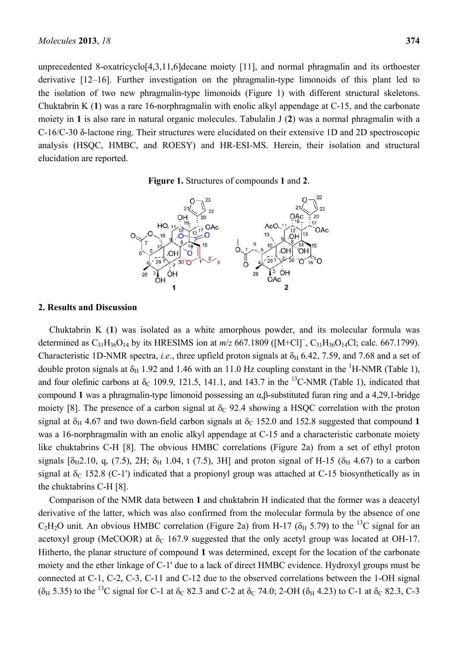unprecedented 8-oxatricyclo[4,3,11,6]decane moiety [11], and normal phragmalin and its orthoester derivative [12–16]. Further investigation on the phragmalin-type limonoids of this plant led to the isolation of two new phragmalin-type limonoids (Figure 1) with different structural skeletons. Chuktabrin K (**1**) was a rare 16-norphragmalin with enolic alkyl appendage at C-15, and the carbonate moiety in **1** is also rare in natural organic molecules. Tabulalin J (**2**) was a normal phragmalin with a C-16/C-30 δ-lactone ring. Their structures were elucidated on their extensive 1D and 2D spectroscopic analysis (HSQC, HMBC, and ROESY) and HR-ESI-MS. Herein, their isolation and structural elucidation are reported.





#### **2. Results and Discussion**

Chuktabrin K (**1**) was isolated as a white amorphous powder, and its molecular formula was determined as  $C_{31}H_{36}O_{14}$  by its HRESIMS ion at  $m/z$  667.1809 ([M+Cl]<sup>-</sup>, C<sub>31</sub>H<sub>36</sub>O<sub>14</sub>Cl; calc. 667.1799). Characteristic 1D-NMR spectra, *i.e.*, three upfield proton signals at  $\delta_H$  6.42, 7.59, and 7.68 and a set of double proton signals at  $\delta_H$  1.92 and 1.46 with an 11.0 Hz coupling constant in the <sup>1</sup>H-NMR (Table 1), and four olefinic carbons at  $\delta_c$  109.9, 121.5, 141.1, and 143.7 in the <sup>13</sup>C-NMR (Table 1), indicated that compound **1** was a phragmalin-type limonoid possessing an α,β-substituted furan ring and a 4,29,1-bridge moiety [8]. The presence of a carbon signal at  $\delta_C$  92.4 showing a HSQC correlation with the proton signal at  $\delta_H$  4.67 and two down-field carbon signals at  $\delta_C$  152.0 and 152.8 suggested that compound 1 was a 16-norphragmalin with an enolic alkyl appendage at C-15 and a characteristic carbonate moiety like chuktabrins C-H [8]. The obvious HMBC correlations (Figure 2a) from a set of ethyl proton signals [ $\delta_{H}$ 2.10, q, (7.5), 2H;  $\delta_{H}$  1.04, t (7.5), 3H] and proton signal of H-15 ( $\delta_{H}$  4.67) to a carbon signal at  $\delta$ <sub>C</sub> 152.8 (C-1') indicated that a propionyl group was attached at C-15 biosynthetically as in the chuktabrins C-H [8].

Comparison of the NMR data between **1** and chuktabrin H indicated that the former was a deacetyl derivative of the latter, which was also confirmed from the molecular formula by the absence of one  $C_2H_2O$  unit. An obvious HMBC correlation (Figure 2a) from H-17 ( $\delta_H$  5.79) to the <sup>13</sup>C signal for an acetoxyl group (MeCOOR) at  $\delta_c$  167.9 suggested that the only acetyl group was located at OH-17. Hitherto, the planar structure of compound **1** was determined, except for the location of the carbonate moiety and the ether linkage of C-1' due to a lack of direct HMBC evidence. Hydroxyl groups must be connected at C-1, C-2, C-3, C-11 and C-12 due to the observed correlations between the 1-OH signal ( $\delta_H$  5.35) to the <sup>13</sup>C signal for C-1 at  $\delta_C$  82.3 and C-2 at  $\delta_C$  74.0; 2-OH ( $\delta_H$  4.23) to C-1 at  $\delta_C$  82.3, C-3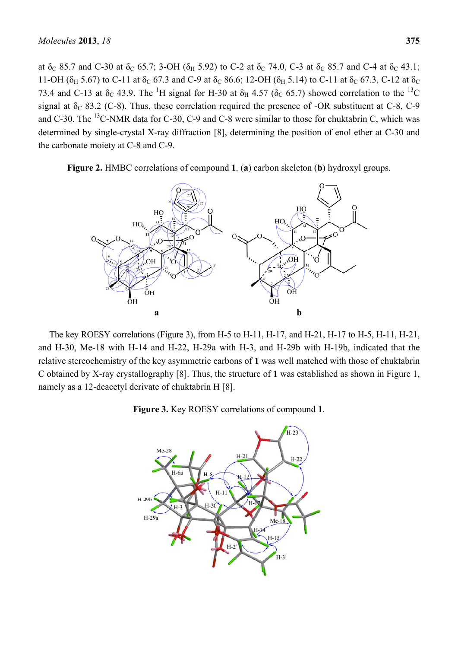at  $\delta_C$  85.7 and C-30 at  $\delta_C$  65.7; 3-OH ( $\delta_H$  5.92) to C-2 at  $\delta_C$  74.0, C-3 at  $\delta_C$  85.7 and C-4 at  $\delta_C$  43.1; 11-OH ( $\delta_H$  5.67) to C-11 at  $\delta_C$  67.3 and C-9 at  $\delta_C$  86.6; 12-OH ( $\delta_H$  5.14) to C-11 at  $\delta_C$  67.3, C-12 at  $\delta_C$ 73.4 and C-13 at  $\delta_c$  43.9. The <sup>1</sup>H signal for H-30 at  $\delta_H$  4.57 ( $\delta_c$  65.7) showed correlation to the <sup>13</sup>C signal at  $\delta_C$  83.2 (C-8). Thus, these correlation required the presence of -OR substituent at C-8, C-9 and C-30. The <sup>13</sup>C-NMR data for C-30, C-9 and C-8 were similar to those for chuktabrin C, which was determined by single-crystal X-ray diffraction [8], determining the position of enol ether at C-30 and the carbonate moiety at C-8 and C-9.



**Figure 2.** HMBC correlations of compound **1**. (**a**) carbon skeleton (**b**) hydroxyl groups.

The key ROESY correlations (Figure 3), from H-5 to H-11, H-17, and H-21, H-17 to H-5, H-11, H-21, and H-30, Me-18 with H-14 and H-22, H-29a with H-3, and H-29b with H-19b, indicated that the relative stereochemistry of the key asymmetric carbons of **1** was well matched with those of chuktabrin C obtained by X-ray crystallography [8]. Thus, the structure of **1** was established as shown in Figure 1, namely as a 12-deacetyl derivate of chuktabrin H [8].

**Figure 3.** Key ROESY correlations of compound **1**.

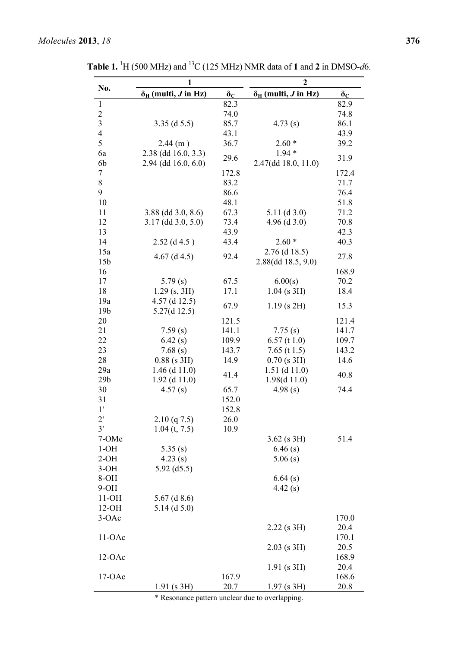|                         | $\mathbf{1}$                             |                  | $\overline{2}$                           |                  |
|-------------------------|------------------------------------------|------------------|------------------------------------------|------------------|
| No.                     | $\delta_{\rm H}$ (multi, <i>J</i> in Hz) | $\delta_{\rm C}$ | $\delta_{\rm H}$ (multi, <i>J</i> in Hz) | $\delta_{\rm C}$ |
| $\mathbf{1}$            |                                          | 82.3             |                                          | 82.9             |
| $\overline{c}$          |                                          | 74.0             |                                          | 74.8             |
| $\overline{\mathbf{3}}$ | $3.35$ (d $5.5$ )                        | 85.7             | 4.73(s)                                  | 86.1             |
| $\overline{4}$          |                                          | 43.1             |                                          | 43.9             |
| 5                       | 2.44(m)                                  | 36.7             | $2.60*$                                  | 39.2             |
| 6a                      | 2.38 (dd 16.0, 3.3)                      | 29.6             | $1.94*$                                  | 31.9             |
| 6b                      | 2.94 (dd 16.0, 6.0)                      |                  | 2.47(dd 18.0, 11.0)                      |                  |
| 7                       |                                          | 172.8            |                                          | 172.4            |
| 8                       |                                          | 83.2             |                                          | 71.7             |
| 9                       |                                          | 86.6             |                                          | 76.4             |
| 10                      |                                          | 48.1             |                                          | 51.8             |
| 11                      | $3.88$ (dd $3.0, 8.6$ )                  | 67.3             | $5.11$ (d 3.0)                           | 71.2             |
| 12                      | $3.17$ (dd $3.0, 5.0$ )                  | 73.4             | 4.96 $(d 3.0)$                           | 70.8             |
| 13                      |                                          | 43.9             |                                          | 42.3             |
| 14                      | $2.52$ (d 4.5)                           | 43.4             | $2.60*$                                  | 40.3             |
| 15a                     | $4.67$ (d $4.5$ )                        | 92.4             | $2.76$ (d 18.5)                          | 27.8             |
| 15 <sub>b</sub>         |                                          |                  | 2.88(dd 18.5, 9.0)                       |                  |
| 16                      |                                          |                  |                                          | 168.9            |
| 17                      | 5.79(s)                                  | 67.5             | 6.00(s)                                  | 70.2             |
| 18                      | $1.29$ (s, 3H)                           | 17.1             | $1.04$ (s 3H)                            | 18.4             |
| 19a                     | $4.57$ (d 12.5)                          |                  |                                          |                  |
| 19 <sub>b</sub>         | 5.27(d12.5)                              | 67.9             | $1.19$ (s $2H$ )                         | 15.3             |
| 20                      |                                          | 121.5            |                                          | 121.4            |
| 21                      | 7.59(s)                                  | 141.1            | 7.75(s)                                  | 141.7            |
| 22                      | 6.42(s)                                  | 109.9            | $6.57$ (t 1.0)                           | 109.7            |
| 23                      | 7.68(s)                                  | 143.7            | 7.65 (t $1.5$ )                          | 143.2            |
| 28                      | $0.88$ (s 3H)                            | 14.9             | $0.70$ (s 3H)                            | 14.6             |
| 29a                     | $1.46$ (d $11.0$ )                       |                  | $1.51$ (d $11.0$ )                       |                  |
| 29 <sub>b</sub>         | $1.92$ (d $11.0$ )                       | 41.4             | 1.98(d 11.0)                             | 40.8             |
| 30                      | 4.57(s)                                  | 65.7             | 4.98(s)                                  | 74.4             |
| 31                      |                                          | 152.0            |                                          |                  |
| 1'                      |                                          | 152.8            |                                          |                  |
| $2^{\prime}$            | 2.10 (q7.5)                              | 26.0             |                                          |                  |
| 3'                      | $1.04$ (t, 7.5)                          | 10.9             |                                          |                  |
| 7-OMe                   |                                          |                  | $3.62$ (s $3H$ )                         | 51.4             |
| $1-OH$                  | 5.35(s)                                  |                  | 6.46(s)                                  |                  |
| $2-OH$                  | 4.23(s)                                  |                  | 5.06(s)                                  |                  |
| $3-OH$                  | 5.92 $(d5.5)$                            |                  |                                          |                  |
| 8-OH                    |                                          |                  | 6.64(s)                                  |                  |
| $9-OH$                  |                                          |                  | 4.42(s)                                  |                  |
| $11-OH$                 | $5.67$ (d 8.6)                           |                  |                                          |                  |
| $12-OH$                 | $5.14$ (d $5.0$ )                        |                  |                                          |                  |
| $3-OAc$                 |                                          |                  |                                          | 170.0            |
|                         |                                          |                  | $2.22$ (s $3H$ )                         | 20.4             |
| $11-OAc$                |                                          |                  |                                          | 170.1            |
|                         |                                          |                  | $2.03$ (s 3H)                            | 20.5             |
| $12-OAc$                |                                          |                  |                                          | 168.9            |
|                         |                                          |                  | $1.91$ (s 3H)                            | 20.4             |
| $17-OAc$                |                                          | 167.9            |                                          | 168.6            |
|                         | $1.91$ (s 3H)                            | 20.7             | $1.97$ (s 3H)                            | 20.8             |
|                         |                                          |                  |                                          |                  |

**Table 1.** <sup>1</sup>H (500 MHz) and <sup>13</sup>C (125 MHz) NMR data of **1** and **2** in DMSO-*d*6.

\* Resonance pattern unclear due to overlapping.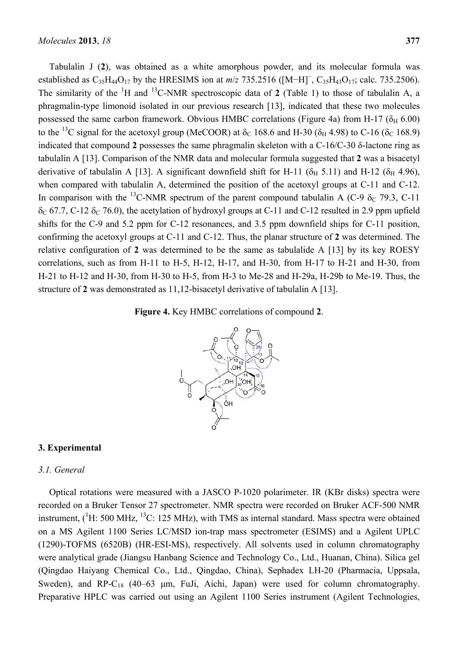Tabulalin J (**2**), was obtained as a white amorphous powder, and its molecular formula was established as  $C_{35}H_{44}O_{17}$  by the HRESIMS ion at  $m/z$  735.2516 ([M−H]<sup>-</sup>,  $C_{35}H_{43}O_{17}$ ; calc. 735.2506). The similarity of the  ${}^{1}H$  and  ${}^{13}C$ -NMR spectroscopic data of 2 (Table 1) to those of tabulalin A, a phragmalin-type limonoid isolated in our previous research [13], indicated that these two molecules possessed the same carbon framework. Obvious HMBC correlations (Figure 4a) from H-17 ( $\delta_H$  6.00) to the <sup>13</sup>C signal for the acetoxyl group (MeCOOR) at  $\delta_c$  168.6 and H-30 ( $\delta_H$  4.98) to C-16 ( $\delta_c$  168.9) indicated that compound **2** possesses the same phragmalin skeleton with a C-16/C-30 δ-lactone ring as tabulalin A [13]. Comparison of the NMR data and molecular formula suggested that **2** was a bisacetyl derivative of tabulalin A [13]. A significant downfield shift for H-11 ( $\delta$ <sub>H</sub> 5.11) and H-12 ( $\delta$ <sub>H</sub> 4.96), when compared with tabulalin A, determined the position of the acetoxyl groups at C-11 and C-12. In comparison with the <sup>13</sup>C-NMR spectrum of the parent compound tabulalin A (C-9  $\delta$ <sub>C</sub> 79.3, C-11)  $\delta_c$  67.7, C-12  $\delta_c$  76.0), the acetylation of hydroxyl groups at C-11 and C-12 resulted in 2.9 ppm upfield shifts for the C-9 and 5.2 ppm for C-12 resonances, and 3.5 ppm downfield ships for C-11 position, confirming the acetoxyl groups at C-11 and C-12. Thus, the planar structure of **2** was determined. The relative configuration of **2** was determined to be the same as tabulalide A [13] by its key ROESY correlations, such as from H-11 to H-5, H-12, H-17, and H-30, from H-17 to H-21 and H-30, from H-21 to H-12 and H-30, from H-30 to H-5, from H-3 to Me-28 and H-29a, H-29b to Me-19. Thus, the structure of **2** was demonstrated as 11,12-bisacetyl derivative of tabulalin A [13].





## **3. Experimental**

# *3.1. General*

Optical rotations were measured with a JASCO P-1020 polarimeter. IR (KBr disks) spectra were recorded on a Bruker Tensor 27 spectrometer. NMR spectra were recorded on Bruker ACF-500 NMR instrument,  $(^1H: 500 \text{ MHz}, ^{13}\text{C}: 125 \text{ MHz})$ , with TMS as internal standard. Mass spectra were obtained on a MS Agilent 1100 Series LC/MSD ion-trap mass spectrometer (ESIMS) and a Agilent UPLC (1290)-TOFMS (6520B) (HR-ESI-MS), respectively. All solvents used in column chromatography were analytical grade (Jiangsu Hanbang Science and Technology Co., Ltd., Huanan, China). Silica gel (Qingdao Haiyang Chemical Co., Ltd., Qingdao, China), Sephadex LH-20 (Pharmacia, Uppsala, Sweden), and RP-C<sub>18</sub> (40–63  $\mu$ m, FuJi, Aichi, Japan) were used for column chromatography. Preparative HPLC was carried out using an Agilent 1100 Series instrument (Agilent Technologies,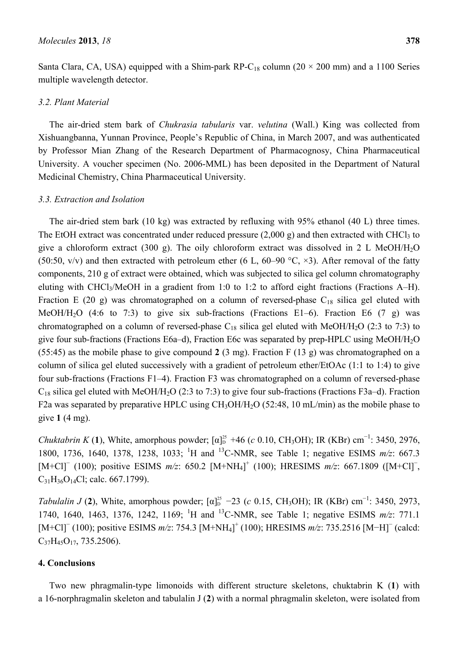Santa Clara, CA, USA) equipped with a Shim-park RP-C<sub>18</sub> column (20  $\times$  200 mm) and a 1100 Series multiple wavelength detector.

#### *3.2. Plant Material*

The air-dried stem bark of *Chukrasia tabularis* var. *velutina* (Wall.) King was collected from Xishuangbanna, Yunnan Province, People's Republic of China, in March 2007, and was authenticated by Professor Mian Zhang of the Research Department of Pharmacognosy, China Pharmaceutical University. A voucher specimen (No. 2006-MML) has been deposited in the Department of Natural Medicinal Chemistry, China Pharmaceutical University.

#### *3.3. Extraction and Isolation*

The air-dried stem bark (10 kg) was extracted by refluxing with 95% ethanol (40 L) three times. The EtOH extract was concentrated under reduced pressure  $(2,000 \text{ g})$  and then extracted with CHCl<sub>3</sub> to give a chloroform extract (300 g). The oily chloroform extract was dissolved in 2 L MeOH/H<sub>2</sub>O (50:50, v/v) and then extracted with petroleum ether (6 L, 60–90  $\degree$ C,  $\times$ 3). After removal of the fatty components, 210 g of extract were obtained, which was subjected to silica gel column chromatography eluting with CHCl3/MeOH in a gradient from 1:0 to 1:2 to afford eight fractions (Fractions A–H). Fraction E (20 g) was chromatographed on a column of reversed-phase  $C_{18}$  silica gel eluted with MeOH/H<sub>2</sub>O (4:6 to 7:3) to give six sub-fractions (Fractions E1–6). Fraction E6 (7 g) was chromatographed on a column of reversed-phase  $C_{18}$  silica gel eluted with MeOH/H<sub>2</sub>O (2:3 to 7:3) to give four sub-fractions (Fractions E6a–d), Fraction E6c was separated by prep-HPLC using MeOH/H2O (55:45) as the mobile phase to give compound **2** (3 mg). Fraction F (13 g) was chromatographed on a column of silica gel eluted successively with a gradient of petroleum ether/EtOAc (1:1 to 1:4) to give four sub-fractions (Fractions F1–4). Fraction F3 was chromatographed on a column of reversed-phase  $C_{18}$  silica gel eluted with MeOH/H<sub>2</sub>O (2:3 to 7:3) to give four sub-fractions (Fractions F3a–d). Fraction F2a was separated by preparative HPLC using CH<sub>3</sub>OH/H<sub>2</sub>O (52:48, 10 mL/min) as the mobile phase to give **1** (4 mg).

*Chuktabrin K* (1), White, amorphous powder;  $[\alpha]_D^{25}$  +46 (*c* 0.10, CH<sub>3</sub>OH); IR (KBr) cm<sup>-1</sup>: 3450, 2976, 1800, 1736, 1640, 1378, 1238, 1033; <sup>1</sup>H and <sup>13</sup>C-NMR, see Table 1; negative ESIMS *m/z*: 667.3 [M+Cl]<sup>-</sup> (100); positive ESIMS *m/z*: 650.2 [M+NH<sub>4</sub>]<sup>+</sup> (100); HRESIMS *m/z*: 667.1809 ([M+Cl]<sup>-</sup>,  $C_{31}H_{36}O_{14}Cl$ ; calc. 667.1799).

*Tabulalin J* (2), White, amorphous powder;  $[\alpha]_D^{25}$  –23 (*c* 0.15, CH<sub>3</sub>OH); IR (KBr) cm<sup>-1</sup>: 3450, 2973, 1740, 1640, 1463, 1376, 1242, 1169; <sup>1</sup>H and <sup>13</sup>C-NMR, see Table 1; negative ESIMS  $m/z$ : 771.1 [M+Cl]<sup>-</sup> (100); positive ESIMS *m/z*: 754.3 [M+NH<sub>4</sub>]<sup>+</sup> (100); HRESIMS *m/z*: 735.2516 [M−H]<sup>-</sup> (calcd:  $C_{37}H_{45}O_{17}$ , 735.2506).

## **4. Conclusions**

Two new phragmalin-type limonoids with different structure skeletons, chuktabrin K (**1**) with a 16-norphragmalin skeleton and tabulalin J (**2**) with a normal phragmalin skeleton, were isolated from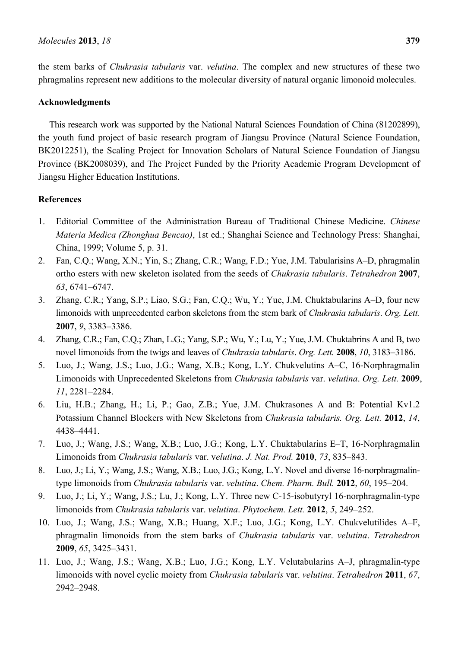the stem barks of *Chukrasia tabularis* var. *velutina*. The complex and new structures of these two phragmalins represent new additions to the molecular diversity of natural organic limonoid molecules.

## **Acknowledgments**

This research work was supported by the National Natural Sciences Foundation of China (81202899), the youth fund project of basic research program of Jiangsu Province (Natural Science Foundation, BK2012251), the Scaling Project for Innovation Scholars of Natural Science Foundation of Jiangsu Province (BK2008039), and The Project Funded by the Priority Academic Program Development of Jiangsu Higher Education Institutions.

## **References**

- 1. Editorial Committee of the Administration Bureau of Traditional Chinese Medicine. *Chinese Materia Medica (Zhonghua Bencao)*, 1st ed.; Shanghai Science and Technology Press: Shanghai, China, 1999; Volume 5, p. 31.
- 2. Fan, C.Q.; Wang, X.N.; Yin, S.; Zhang, C.R.; Wang, F.D.; Yue, J.M. Tabularisins A–D, phragmalin ortho esters with new skeleton isolated from the seeds of *Chukrasia tabularis*. *Tetrahedron* **2007**, *63*, 6741–6747.
- 3. Zhang, C.R.; Yang, S.P.; Liao, S.G.; Fan, C.Q.; Wu, Y.; Yue, J.M. Chuktabularins A–D, four new limonoids with unprecedented carbon skeletons from the stem bark of *Chukrasia tabularis*. *Org. Lett.* **2007**, *9*, 3383–3386.
- 4. Zhang, C.R.; Fan, C.Q.; Zhan, L.G.; Yang, S.P.; Wu, Y.; Lu, Y.; Yue, J.M. Chuktabrins A and B, two novel limonoids from the twigs and leaves of *Chukrasia tabularis*. *Org. Lett.* **2008**, *10*, 3183–3186.
- 5. Luo, J.; Wang, J.S.; Luo, J.G.; Wang, X.B.; Kong, L.Y. Chukvelutins A–C, 16-Norphragmalin Limonoids with Unprecedented Skeletons from *Chukrasia tabularis* var. *velutina*. *Org. Lett.* **2009**, *11*, 2281–2284.
- 6. Liu, H.B.; Zhang, H.; Li, P.; Gao, Z.B.; Yue, J.M. Chukrasones A and B: Potential Kv1.2 Potassium Channel Blockers with New Skeletons from *Chukrasia tabularis. Org. Lett.* **2012**, *14*, 4438–4441.
- 7. Luo, J.; Wang, J.S.; Wang, X.B.; Luo, J.G.; Kong, L.Y. Chuktabularins E–T, 16-Norphragmalin Limonoids from *Chukrasia tabularis* var. v*elutina*. *J. Nat. Prod.* **2010**, *73*, 835–843.
- 8. Luo, J.; Li, Y.; Wang, J.S.; Wang, X.B.; Luo, J.G.; Kong, L.Y. Novel and diverse 16-norphragmalintype limonoids from *Chukrasia tabularis* var. *velutina*. *Chem. Pharm. Bull.* **2012**, *60*, 195–204.
- 9. Luo, J.; Li, Y.; Wang, J.S.; Lu, J.; Kong, L.Y. Three new C-15-isobutyryl 16-norphragmalin-type limonoids from *Chukrasia tabularis* var. *velutina*. *Phytochem. Lett.* **2012**, *5*, 249–252.
- 10. Luo, J.; Wang, J.S.; Wang, X.B.; Huang, X.F.; Luo, J.G.; Kong, L.Y. Chukvelutilides A–F, phragmalin limonoids from the stem barks of *Chukrasia tabularis* var. *velutina*. *Tetrahedron* **2009**, *65*, 3425–3431.
- 11. Luo, J.; Wang, J.S.; Wang, X.B.; Luo, J.G.; Kong, L.Y. Velutabularins A–J, phragmalin-type limonoids with novel cyclic moiety from *Chukrasia tabularis* var. *velutina*. *Tetrahedron* **2011**, *67*, 2942–2948.